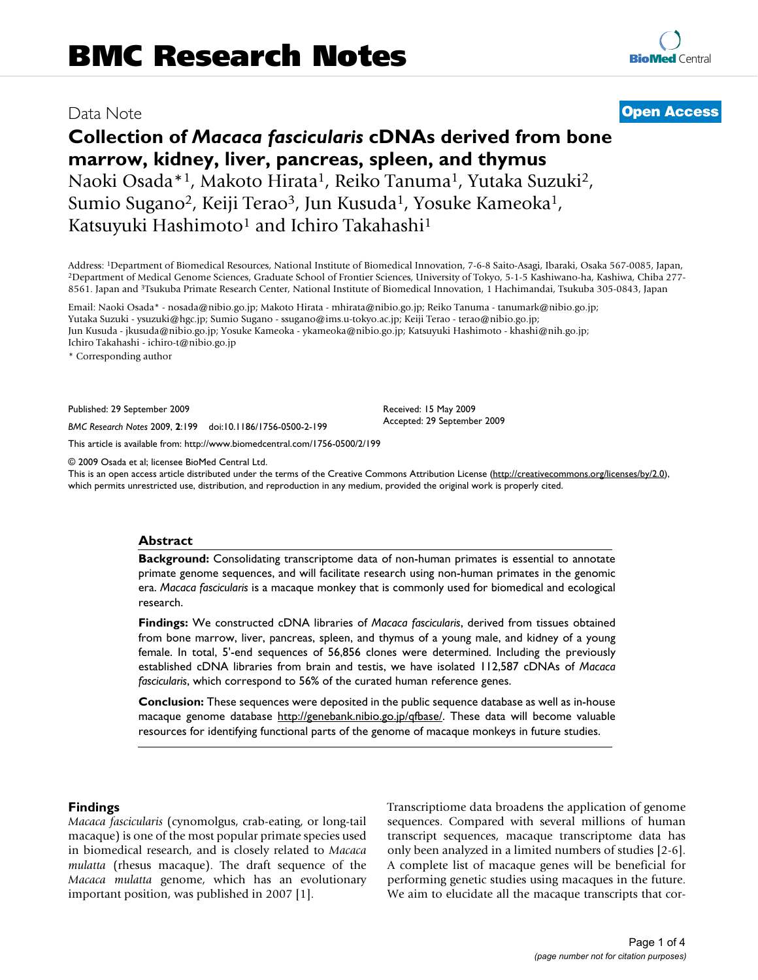# Data Note **[Open Access](http://www.biomedcentral.com/info/about/charter/)**

# **Collection of** *Macaca fascicularis* **cDNAs derived from bone marrow, kidney, liver, pancreas, spleen, and thymus** Naoki Osada\*<sup>1</sup>, Makoto Hirata<sup>1</sup>, Reiko Tanuma<sup>1</sup>, Yutaka Suzuki<sup>2</sup>, Sumio Sugano<sup>2</sup>, Keiji Terao<sup>3</sup>, Jun Kusuda<sup>1</sup>, Yosuke Kameoka<sup>1</sup>, Katsuyuki Hashimoto<sup>1</sup> and Ichiro Takahashi<sup>1</sup>

Address: <sup>1</sup>Department of Biomedical Resources, National Institute of Biomedical Innovation, 7-6-8 Saito-Asagi, Ibaraki, Osaka 567-0085, Japan, <sup>2</sup>Department of Medical Genome Sciences, Graduate School of Frontier Sciences 8561. Japan and 3Tsukuba Primate Research Center, National Institute of Biomedical Innovation, 1 Hachimandai, Tsukuba 305-0843, Japan

Email: Naoki Osada\* - nosada@nibio.go.jp; Makoto Hirata - mhirata@nibio.go.jp; Reiko Tanuma - tanumark@nibio.go.jp; Yutaka Suzuki - ysuzuki@hgc.jp; Sumio Sugano - ssugano@ims.u-tokyo.ac.jp; Keiji Terao - terao@nibio.go.jp; Jun Kusuda - jkusuda@nibio.go.jp; Yosuke Kameoka - ykameoka@nibio.go.jp; Katsuyuki Hashimoto - khashi@nih.go.jp; Ichiro Takahashi - ichiro-t@nibio.go.jp

\* Corresponding author

Published: 29 September 2009

*BMC Research Notes* 2009, **2**:199 doi:10.1186/1756-0500-2-199

[This article is available from: http://www.biomedcentral.com/1756-0500/2/199](http://www.biomedcentral.com/1756-0500/2/199)

© 2009 Osada et al; licensee BioMed Central Ltd.

This is an open access article distributed under the terms of the Creative Commons Attribution License [\(http://creativecommons.org/licenses/by/2.0\)](http://creativecommons.org/licenses/by/2.0), which permits unrestricted use, distribution, and reproduction in any medium, provided the original work is properly cited.

Received: 15 May 2009 Accepted: 29 September 2009

## **Abstract**

**Background:** Consolidating transcriptome data of non-human primates is essential to annotate primate genome sequences, and will facilitate research using non-human primates in the genomic era. *Macaca fascicularis* is a macaque monkey that is commonly used for biomedical and ecological research.

**Findings:** We constructed cDNA libraries of *Macaca fascicularis*, derived from tissues obtained from bone marrow, liver, pancreas, spleen, and thymus of a young male, and kidney of a young female. In total, 5'-end sequences of 56,856 clones were determined. Including the previously established cDNA libraries from brain and testis, we have isolated 112,587 cDNAs of *Macaca fascicularis*, which correspond to 56% of the curated human reference genes.

**Conclusion:** These sequences were deposited in the public sequence database as well as in-house macaque genome database [http://genebank.nibio.go.jp/qfbase/.](http://genebank.nibio.go.jp/qfbase/) These data will become valuable resources for identifying functional parts of the genome of macaque monkeys in future studies.

## **Findings**

*Macaca fascicularis* (cynomolgus, crab-eating, or long-tail macaque) is one of the most popular primate species used in biomedical research, and is closely related to *Macaca mulatta* (rhesus macaque). The draft sequence of the *Macaca mulatta* genome, which has an evolutionary important position, was published in 2007 [1].

Transcriptiome data broadens the application of genome sequences. Compared with several millions of human transcript sequences, macaque transcriptome data has only been analyzed in a limited numbers of studies [2-6]. A complete list of macaque genes will be beneficial for performing genetic studies using macaques in the future. We aim to elucidate all the macaque transcripts that cor-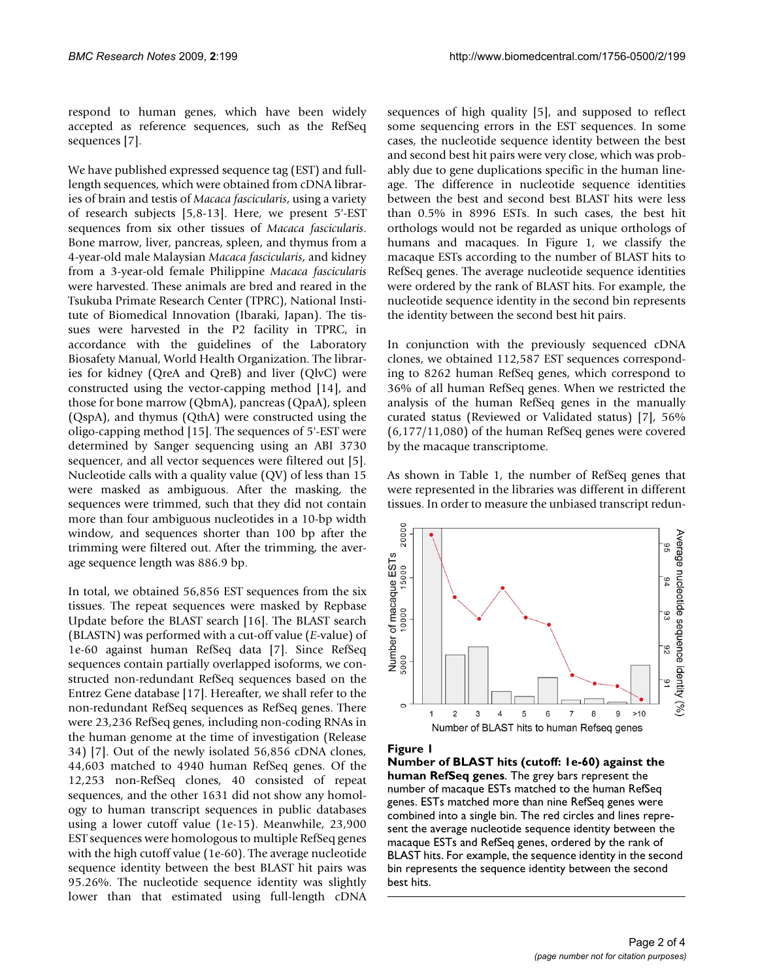respond to human genes, which have been widely accepted as reference sequences, such as the RefSeq sequences [7].

We have published expressed sequence tag (EST) and fulllength sequences, which were obtained from cDNA libraries of brain and testis of *Macaca fascicularis*, using a variety of research subjects [5,8-13]. Here, we present 5'-EST sequences from six other tissues of *Macaca fascicularis*. Bone marrow, liver, pancreas, spleen, and thymus from a 4-year-old male Malaysian *Macaca fascicularis*, and kidney from a 3-year-old female Philippine *Macaca fascicularis* were harvested. These animals are bred and reared in the Tsukuba Primate Research Center (TPRC), National Institute of Biomedical Innovation (Ibaraki, Japan). The tissues were harvested in the P2 facility in TPRC, in accordance with the guidelines of the Laboratory Biosafety Manual, World Health Organization. The libraries for kidney (QreA and QreB) and liver (QlvC) were constructed using the vector-capping method [14], and those for bone marrow (QbmA), pancreas (QpaA), spleen (QspA), and thymus (QthA) were constructed using the oligo-capping method [15]. The sequences of 5'-EST were determined by Sanger sequencing using an ABI 3730 sequencer, and all vector sequences were filtered out [5]. Nucleotide calls with a quality value (QV) of less than 15 were masked as ambiguous. After the masking, the sequences were trimmed, such that they did not contain more than four ambiguous nucleotides in a 10-bp width window, and sequences shorter than 100 bp after the trimming were filtered out. After the trimming, the average sequence length was 886.9 bp.

In total, we obtained 56,856 EST sequences from the six tissues. The repeat sequences were masked by Repbase Update before the BLAST search [16]. The BLAST search (BLASTN) was performed with a cut-off value (*E*-value) of 1e-60 against human RefSeq data [7]. Since RefSeq sequences contain partially overlapped isoforms, we constructed non-redundant RefSeq sequences based on the Entrez Gene database [17]. Hereafter, we shall refer to the non-redundant RefSeq sequences as RefSeq genes. There were 23,236 RefSeq genes, including non-coding RNAs in the human genome at the time of investigation (Release 34) [7]. Out of the newly isolated 56,856 cDNA clones, 44,603 matched to 4940 human RefSeq genes. Of the 12,253 non-RefSeq clones, 40 consisted of repeat sequences, and the other 1631 did not show any homology to human transcript sequences in public databases using a lower cutoff value (1e-15). Meanwhile, 23,900 EST sequences were homologous to multiple RefSeq genes with the high cutoff value (1e-60). The average nucleotide sequence identity between the best BLAST hit pairs was 95.26%. The nucleotide sequence identity was slightly lower than that estimated using full-length cDNA

sequences of high quality [5], and supposed to reflect some sequencing errors in the EST sequences. In some cases, the nucleotide sequence identity between the best and second best hit pairs were very close, which was probably due to gene duplications specific in the human lineage. The difference in nucleotide sequence identities between the best and second best BLAST hits were less than 0.5% in 8996 ESTs. In such cases, the best hit orthologs would not be regarded as unique orthologs of humans and macaques. In Figure 1, we classify the macaque ESTs according to the number of BLAST hits to RefSeq genes. The average nucleotide sequence identities were ordered by the rank of BLAST hits. For example, the nucleotide sequence identity in the second bin represents the identity between the second best hit pairs.

In conjunction with the previously sequenced cDNA clones, we obtained 112,587 EST sequences corresponding to 8262 human RefSeq genes, which correspond to 36% of all human RefSeq genes. When we restricted the analysis of the human RefSeq genes in the manually curated status (Reviewed or Validated status) [7], 56% (6,177/11,080) of the human RefSeq genes were covered by the macaque transcriptome.

As shown in Table 1, the number of RefSeq genes that were represented in the libraries was different in different tissues. In order to measure the unbiased transcript redun-



#### **Figure 1**

**Number of BLAST hits (cutoff: 1e-60) against the human RefSeq genes**. The grey bars represent the number of macaque ESTs matched to the human RefSeq genes. ESTs matched more than nine RefSeq genes were combined into a single bin. The red circles and lines represent the average nucleotide sequence identity between the macaque ESTs and RefSeq genes, ordered by the rank of BLAST hits. For example, the sequence identity in the second bin represents the sequence identity between the second best hits.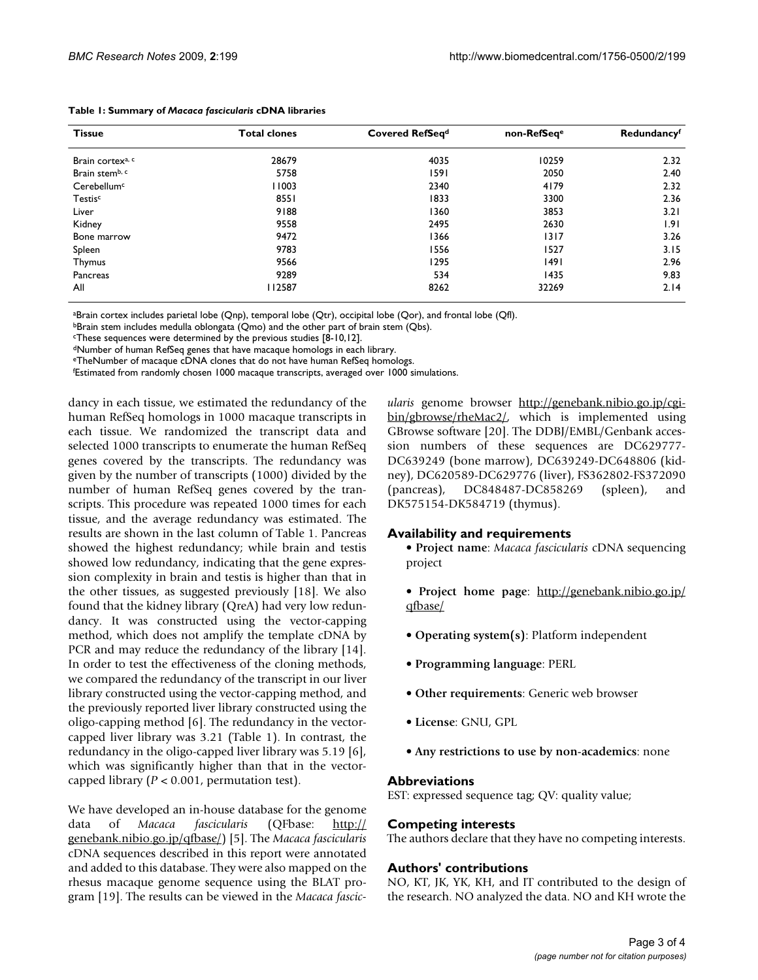| <b>Tissue</b>                | <b>Total clones</b> | Covered RefSeq <sup>d</sup> | non-RefSeqe | Redundancyf |
|------------------------------|---------------------|-----------------------------|-------------|-------------|
| Brain cortex <sup>a, c</sup> | 28679               | 4035                        | 10259       | 2.32        |
| Brain stemb, c               | 5758                | 1591                        | 2050        | 2.40        |
| Cerebellum <sup>c</sup>      | 11003               | 2340                        | 4179        | 2.32        |
| Testis <sup>c</sup>          | 8551                | 1833                        | 3300        | 2.36        |
| Liver                        | 9188                | 1360                        | 3853        | 3.21        |
| Kidney                       | 9558                | 2495                        | 2630        | 1.91        |
| Bone marrow                  | 9472                | 1366                        | 1317        | 3.26        |
| Spleen                       | 9783                | 1556                        | 1527        | 3.15        |
| <b>Thymus</b>                | 9566                | 1295                        | 1491        | 2.96        |
| Pancreas                     | 9289                | 534                         | 1435        | 9.83        |
| All                          | 112587              | 8262                        | 32269       | 2.14        |

#### **Table 1: Summary of** *Macaca fascicularis* **cDNA libraries**

aBrain cortex includes parietal lobe (Qnp), temporal lobe (Qtr), occipital lobe (Qor), and frontal lobe (Qfl).

bBrain stem includes medulla oblongata (Qmo) and the other part of brain stem (Qbs).

cThese sequences were determined by the previous studies [8-10,12].

dNumber of human RefSeq genes that have macaque homologs in each library.

eTheNumber of macaque cDNA clones that do not have human RefSeq homologs.

f Estimated from randomly chosen 1000 macaque transcripts, averaged over 1000 simulations.

dancy in each tissue, we estimated the redundancy of the human RefSeq homologs in 1000 macaque transcripts in each tissue. We randomized the transcript data and selected 1000 transcripts to enumerate the human RefSeq genes covered by the transcripts. The redundancy was given by the number of transcripts (1000) divided by the number of human RefSeq genes covered by the transcripts. This procedure was repeated 1000 times for each tissue, and the average redundancy was estimated. The results are shown in the last column of Table 1. Pancreas showed the highest redundancy; while brain and testis showed low redundancy, indicating that the gene expression complexity in brain and testis is higher than that in the other tissues, as suggested previously [18]. We also found that the kidney library (QreA) had very low redundancy. It was constructed using the vector-capping method, which does not amplify the template cDNA by PCR and may reduce the redundancy of the library [14]. In order to test the effectiveness of the cloning methods, we compared the redundancy of the transcript in our liver library constructed using the vector-capping method, and the previously reported liver library constructed using the oligo-capping method [6]. The redundancy in the vectorcapped liver library was 3.21 (Table 1). In contrast, the redundancy in the oligo-capped liver library was 5.19 [6], which was significantly higher than that in the vectorcapped library (*P* < 0.001, permutation test).

We have developed an in-house database for the genome data of *Macaca fascicularis* (QFbase: [http://](http://genebank.nibio.go.jp/qfbase/) [genebank.nibio.go.jp/qfbase/\)](http://genebank.nibio.go.jp/qfbase/) [5]. The *Macaca fascicularis* cDNA sequences described in this report were annotated and added to this database. They were also mapped on the rhesus macaque genome sequence using the BLAT program [19]. The results can be viewed in the *Macaca fascic-* *ularis* genome browser [http://genebank.nibio.go.jp/cgi](http://genebank.nibio.go.jp/cgi-bin/gbrowse/rheMac2/)[bin/gbrowse/rheMac2/,](http://genebank.nibio.go.jp/cgi-bin/gbrowse/rheMac2/) which is implemented using GBrowse software [20]. The DDBJ/EMBL/Genbank accession numbers of these sequences are DC629777- DC639249 (bone marrow), DC639249-DC648806 (kidney), DC620589-DC629776 (liver), FS362802-FS372090 (pancreas), DC848487-DC858269 (spleen), and DK575154-DK584719 (thymus).

## **Availability and requirements**

• **Project name**: *Macaca fascicularis* cDNA sequencing project

- **Project home page**: [http://genebank.nibio.go.jp/](http://genebank.nibio.go.jp/qfbase/) [qfbase/](http://genebank.nibio.go.jp/qfbase/)
- **Operating system(s)**: Platform independent
- **Programming language**: PERL
- **Other requirements**: Generic web browser
- **License**: GNU, GPL
- **Any restrictions to use by non-academics**: none

## **Abbreviations**

EST: expressed sequence tag; QV: quality value;

# **Competing interests**

The authors declare that they have no competing interests.

# **Authors' contributions**

NO, KT, JK, YK, KH, and IT contributed to the design of the research. NO analyzed the data. NO and KH wrote the